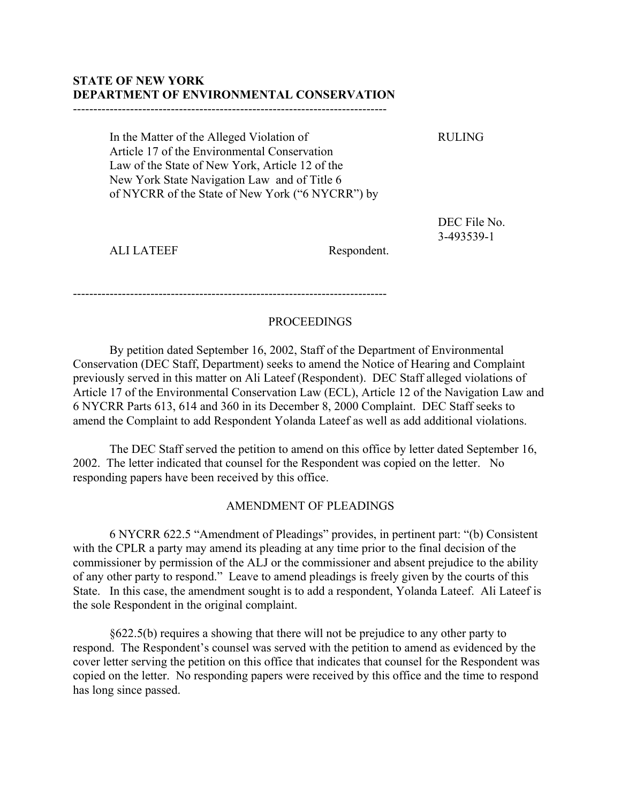## **STATE OF NEW YORK DEPARTMENT OF ENVIRONMENTAL CONSERVATION**

-----------------------------------------------------------------------------

In the Matter of the Alleged Violation of RULING Article 17 of the Environmental Conservation Law of the State of New York, Article 12 of the New York State Navigation Law and of Title 6 of NYCRR of the State of New York ("6 NYCRR") by

> DEC File No. 3-493539-1

ALI LATEEF Respondent.

-----------------------------------------------------------------------------

## PROCEEDINGS

By petition dated September 16, 2002, Staff of the Department of Environmental Conservation (DEC Staff, Department) seeks to amend the Notice of Hearing and Complaint previously served in this matter on Ali Lateef (Respondent). DEC Staff alleged violations of Article 17 of the Environmental Conservation Law (ECL), Article 12 of the Navigation Law and 6 NYCRR Parts 613, 614 and 360 in its December 8, 2000 Complaint. DEC Staff seeks to amend the Complaint to add Respondent Yolanda Lateef as well as add additional violations.

The DEC Staff served the petition to amend on this office by letter dated September 16, 2002. The letter indicated that counsel for the Respondent was copied on the letter. No responding papers have been received by this office.

## AMENDMENT OF PLEADINGS

6 NYCRR 622.5 "Amendment of Pleadings" provides, in pertinent part: "(b) Consistent with the CPLR a party may amend its pleading at any time prior to the final decision of the commissioner by permission of the ALJ or the commissioner and absent prejudice to the ability of any other party to respond." Leave to amend pleadings is freely given by the courts of this State. In this case, the amendment sought is to add a respondent, Yolanda Lateef. Ali Lateef is the sole Respondent in the original complaint.

§622.5(b) requires a showing that there will not be prejudice to any other party to respond. The Respondent's counsel was served with the petition to amend as evidenced by the cover letter serving the petition on this office that indicates that counsel for the Respondent was copied on the letter. No responding papers were received by this office and the time to respond has long since passed.